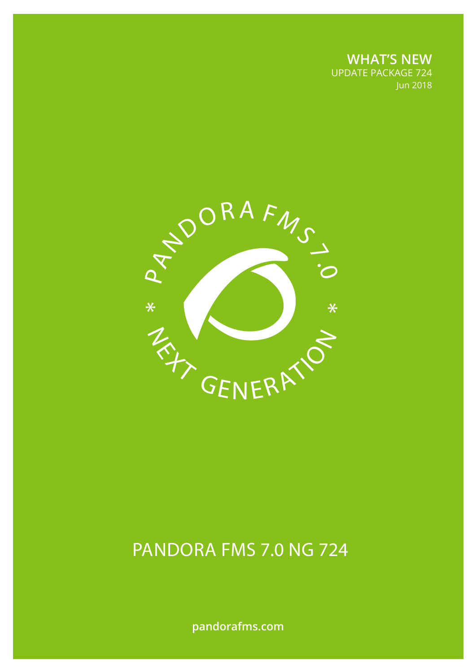**WHAT'S NEW** UPDATE PACKAGE 724 Jun 2018



# PANDORA FMS 7.0 NG 724

**pandorafms.com**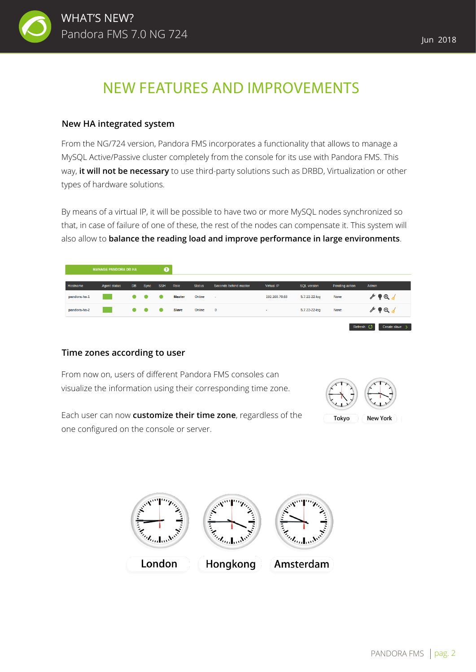

## NEW FEATURES AND IMPROVEMENTS

#### **New HA integrated system**

From the NG/724 version, Pandora FMS incorporates a functionality that allows to manage a MySQL Active/Passive cluster completely from the console for its use with Pandora FMS. This way, **it will not be necessary** to use third-party solutions such as DRBD, Virtualization or other types of hardware solutions.

By means of a virtual IP, it will be possible to have two or more MySQL nodes synchronized so that, in case of failure of one of these, the rest of the nodes can compensate it. This system will also allow to **balance the reading load and improve performance in large environments**.

| <b>MANAGE PANDORA DB HA</b> |                                                                                                                       |           |             | Ø          |               |               |                       |                   |                    |                |                                     |
|-----------------------------|-----------------------------------------------------------------------------------------------------------------------|-----------|-------------|------------|---------------|---------------|-----------------------|-------------------|--------------------|----------------|-------------------------------------|
| Hostname                    | <b>Agent status</b>                                                                                                   | DB        | <b>Sync</b> | <b>SSH</b> | Role          | <b>Status</b> | Seconds behind master | <b>Virtual IP</b> | <b>SQL version</b> | Pending action | Admin                               |
| pandora-ha-1                | <b>Contract Contract Contract Contract Contract Contract Contract Contract Contract Contract Contract Contract Co</b> | $\bullet$ | - 0         | $\bullet$  | <b>Master</b> | Online        | $\sim$                | 192.168.70.68     | 5.7.22-22-log      | None           | $\rightarrow \bullet \circ \bullet$ |
| pandora-ha-2                | <b>Contract Contract Contract Contract Contract Contract Contract Contract Contract Contract Contract Contract Co</b> |           |             | - -        | <b>Slave</b>  | Online        | $\overline{0}$        | $\sim$            | 5.7.22-22-log      | None           | $\mathscr{S} \bullet \mathsf{Q}$ .  |
|                             |                                                                                                                       |           |             |            |               |               |                       |                   |                    |                | Refresh (<br>Create slave >         |

#### **Time zones according to user**

From now on, users of different Pandora FMS consoles can visualize the information using their corresponding time zone.



Each user can now **customize their time zone**, regardless of the one configured on the console or server.

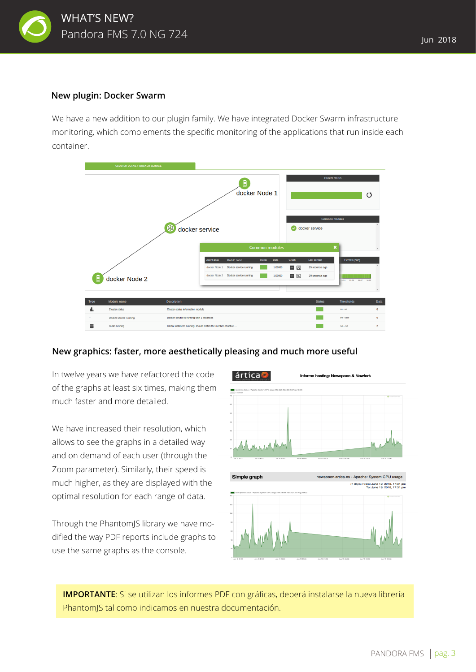

#### **New plugin: Docker Swarm**

We have a new addition to our plugin family. We have integrated Docker Swarm infrastructure monitoring, which complements the specific monitoring of the applications that run inside each container.



#### **New graphics: faster, more aesthetically pleasing and much more useful**

In twelve years we have refactored the code of the graphs at least six times, making them much faster and more detailed.

We have increased their resolution, which allows to see the graphs in a detailed way and on demand of each user (through the Zoom parameter). Similarly, their speed is much higher, as they are displayed with the optimal resolution for each range of data.

Through the PhantomJS library we have modified the way PDF reports include graphs to use the same graphs as the console.



**IMPORTANTE**: Si se utilizan los informes PDF con gráficas, deberá instalarse la nueva librería PhantomJS tal como indicamos en nuestra documentación.